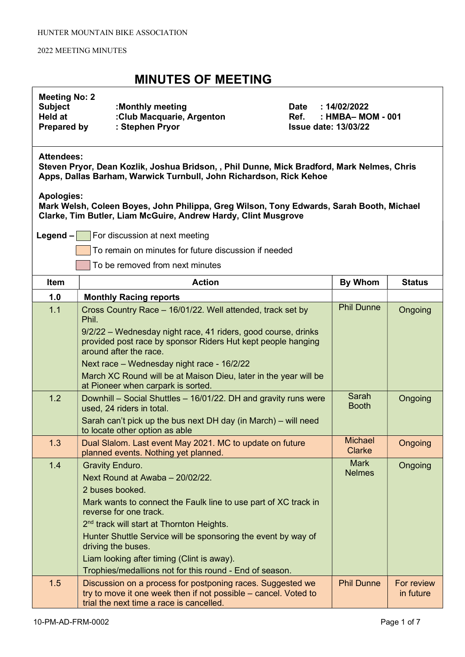### MINUTES OF MEETING

# Meeting No: 2

| Subject            | :Monthly meeting          |
|--------------------|---------------------------|
| Held at            | :Club Macquarie, Argenton |
| <b>Prepared by</b> | : Stephen Pryor           |

Date : 14/02/2022 Ref. : HMBA– MOM - 001 **Issue date: 13/03/22** 

### Attendees:

Steven Pryor, Dean Kozlik, Joshua Bridson, , Phil Dunne, Mick Bradford, Mark Nelmes, Chris Apps, Dallas Barham, Warwick Turnbull, John Richardson, Rick Kehoe

### Apologies:

Mark Welsh, Coleen Boyes, John Philippa, Greg Wilson, Tony Edwards, Sarah Booth, Michael Clarke, Tim Butler, Liam McGuire, Andrew Hardy, Clint Musgrove

**Legend – For discussion at next meeting** 

To remain on minutes for future discussion if needed

To be removed from next minutes

| Item | <b>Action</b>                                                                                                                                                             | <b>By Whom</b>                  | <b>Status</b>           |
|------|---------------------------------------------------------------------------------------------------------------------------------------------------------------------------|---------------------------------|-------------------------|
| 1.0  | <b>Monthly Racing reports</b>                                                                                                                                             |                                 |                         |
| 1.1  | Cross Country Race - 16/01/22. Well attended, track set by<br>Phil.                                                                                                       | <b>Phil Dunne</b>               | Ongoing                 |
|      | 9/2/22 - Wednesday night race, 41 riders, good course, drinks<br>provided post race by sponsor Riders Hut kept people hanging<br>around after the race.                   |                                 |                         |
|      | Next race - Wednesday night race - 16/2/22                                                                                                                                |                                 |                         |
|      | March XC Round will be at Maison Dieu, later in the year will be<br>at Pioneer when carpark is sorted.                                                                    |                                 |                         |
| 1.2  | Downhill - Social Shuttles - 16/01/22. DH and gravity runs were<br>used, 24 riders in total.                                                                              | Sarah<br><b>Booth</b>           | Ongoing                 |
|      | Sarah can't pick up the bus next DH day (in March) – will need<br>to locate other option as able                                                                          |                                 |                         |
| 1.3  | Dual Slalom. Last event May 2021. MC to update on future<br>planned events. Nothing yet planned.                                                                          | <b>Michael</b><br><b>Clarke</b> | Ongoing                 |
| 1.4  | <b>Gravity Enduro.</b>                                                                                                                                                    | <b>Mark</b>                     | Ongoing                 |
|      | Next Round at Awaba - 20/02/22.                                                                                                                                           | <b>Nelmes</b>                   |                         |
|      | 2 buses booked.                                                                                                                                                           |                                 |                         |
|      | Mark wants to connect the Faulk line to use part of XC track in<br>reverse for one track.                                                                                 |                                 |                         |
|      | 2 <sup>nd</sup> track will start at Thornton Heights.                                                                                                                     |                                 |                         |
|      | Hunter Shuttle Service will be sponsoring the event by way of<br>driving the buses.                                                                                       |                                 |                         |
|      | Liam looking after timing (Clint is away).                                                                                                                                |                                 |                         |
|      | Trophies/medallions not for this round - End of season.                                                                                                                   |                                 |                         |
| 1.5  | Discussion on a process for postponing races. Suggested we<br>try to move it one week then if not possible – cancel. Voted to<br>trial the next time a race is cancelled. | <b>Phil Dunne</b>               | For review<br>in future |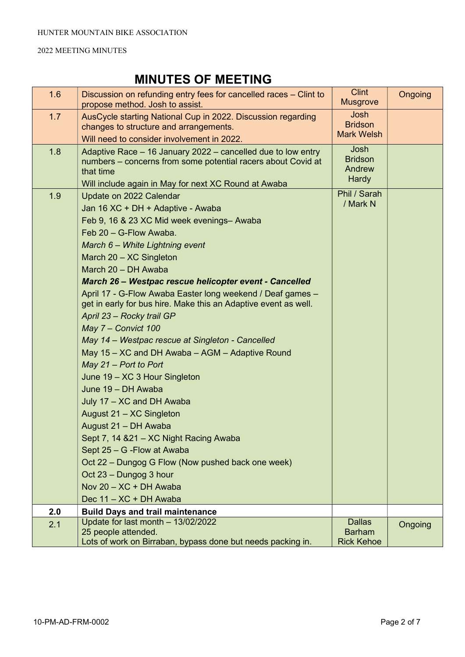| 1.6 | Discussion on refunding entry fees for cancelled races – Clint to<br>propose method. Josh to assist.                                                 | <b>Clint</b><br><b>Musgrove</b>             | Ongoing |
|-----|------------------------------------------------------------------------------------------------------------------------------------------------------|---------------------------------------------|---------|
| 1.7 | AusCycle starting National Cup in 2022. Discussion regarding<br>changes to structure and arrangements.<br>Will need to consider involvement in 2022. | Josh<br><b>Bridson</b><br><b>Mark Welsh</b> |         |
| 1.8 | Adaptive Race - 16 January 2022 - cancelled due to low entry                                                                                         | Josh                                        |         |
|     | numbers - concerns from some potential racers about Covid at<br>that time                                                                            | <b>Bridson</b><br>Andrew                    |         |
|     | Will include again in May for next XC Round at Awaba                                                                                                 | Hardy                                       |         |
| 1.9 | Update on 2022 Calendar                                                                                                                              | Phil / Sarah<br>/ Mark N                    |         |
|     | Jan 16 XC + DH + Adaptive - Awaba                                                                                                                    |                                             |         |
|     | Feb 9, 16 & 23 XC Mid week evenings- Awaba                                                                                                           |                                             |         |
|     | Feb 20 - G-Flow Awaba.                                                                                                                               |                                             |         |
|     | March 6 - White Lightning event                                                                                                                      |                                             |         |
|     | March 20 - XC Singleton                                                                                                                              |                                             |         |
|     | March 20 - DH Awaba                                                                                                                                  |                                             |         |
|     | March 26 - Westpac rescue helicopter event - Cancelled                                                                                               |                                             |         |
|     | April 17 - G-Flow Awaba Easter long weekend / Deaf games -                                                                                           |                                             |         |
|     | get in early for bus hire. Make this an Adaptive event as well.                                                                                      |                                             |         |
|     | April 23 - Rocky trail GP                                                                                                                            |                                             |         |
|     | May 7 - Convict 100                                                                                                                                  |                                             |         |
|     | May 14 - Westpac rescue at Singleton - Cancelled                                                                                                     |                                             |         |
|     | May 15 - XC and DH Awaba - AGM - Adaptive Round                                                                                                      |                                             |         |
|     | May $21$ – Port to Port                                                                                                                              |                                             |         |
|     | June 19 - XC 3 Hour Singleton                                                                                                                        |                                             |         |
|     | June 19 - DH Awaba                                                                                                                                   |                                             |         |
|     | July 17 - XC and DH Awaba                                                                                                                            |                                             |         |
|     | August 21 - XC Singleton                                                                                                                             |                                             |         |
|     | August 21 - DH Awaba                                                                                                                                 |                                             |         |
|     | Sept 7, 14 & 21 - XC Night Racing Awaba                                                                                                              |                                             |         |
|     | Sept 25 - G - Flow at Awaba                                                                                                                          |                                             |         |
|     | Oct 22 - Dungog G Flow (Now pushed back one week)                                                                                                    |                                             |         |
|     | Oct 23 - Dungog 3 hour                                                                                                                               |                                             |         |
|     | Nov 20 - XC + DH Awaba                                                                                                                               |                                             |         |
|     | Dec 11 - XC + DH Awaba                                                                                                                               |                                             |         |
| 2.0 | <b>Build Days and trail maintenance</b><br>Update for last month - 13/02/2022                                                                        | <b>Dallas</b>                               |         |
| 2.1 | 25 people attended.                                                                                                                                  | <b>Barham</b>                               | Ongoing |
|     | Lots of work on Birraban, bypass done but needs packing in.                                                                                          | <b>Rick Kehoe</b>                           |         |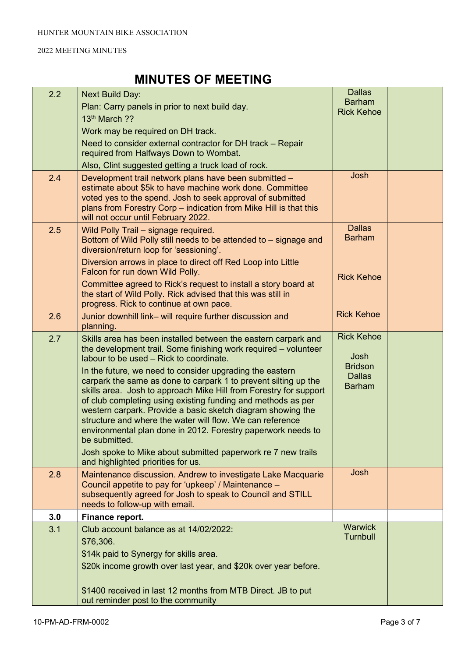| 2.2 | <b>Next Build Day:</b>                                                                                                          | <b>Dallas</b>     |  |
|-----|---------------------------------------------------------------------------------------------------------------------------------|-------------------|--|
|     | Plan: Carry panels in prior to next build day.                                                                                  | <b>Barham</b>     |  |
|     | 13th March ??                                                                                                                   | <b>Rick Kehoe</b> |  |
|     | Work may be required on DH track.                                                                                               |                   |  |
|     | Need to consider external contractor for DH track - Repair                                                                      |                   |  |
|     | required from Halfways Down to Wombat.                                                                                          |                   |  |
|     | Also, Clint suggested getting a truck load of rock.                                                                             |                   |  |
| 2.4 | Development trail network plans have been submitted -                                                                           | Josh              |  |
|     | estimate about \$5k to have machine work done. Committee                                                                        |                   |  |
|     | voted yes to the spend. Josh to seek approval of submitted<br>plans from Forestry Corp – indication from Mike Hill is that this |                   |  |
|     | will not occur until February 2022.                                                                                             |                   |  |
| 2.5 | Wild Polly Trail - signage required.                                                                                            | <b>Dallas</b>     |  |
|     | Bottom of Wild Polly still needs to be attended to - signage and                                                                | <b>Barham</b>     |  |
|     | diversion/return loop for 'sessioning'.                                                                                         |                   |  |
|     | Diversion arrows in place to direct off Red Loop into Little                                                                    |                   |  |
|     | Falcon for run down Wild Polly.                                                                                                 | <b>Rick Kehoe</b> |  |
|     | Committee agreed to Rick's request to install a story board at<br>the start of Wild Polly. Rick advised that this was still in  |                   |  |
|     | progress. Rick to continue at own pace.                                                                                         |                   |  |
| 2.6 | Junior downhill link- will require further discussion and                                                                       | <b>Rick Kehoe</b> |  |
|     | planning.                                                                                                                       |                   |  |
| 2.7 | Skills area has been installed between the eastern carpark and                                                                  | <b>Rick Kehoe</b> |  |
|     | the development trail. Some finishing work required – volunteer<br>labour to be used - Rick to coordinate.                      | Josh              |  |
|     | In the future, we need to consider upgrading the eastern                                                                        | <b>Bridson</b>    |  |
|     | carpark the same as done to carpark 1 to prevent silting up the                                                                 | <b>Dallas</b>     |  |
|     | skills area. Josh to approach Mike Hill from Forestry for support                                                               | <b>Barham</b>     |  |
|     | of club completing using existing funding and methods as per                                                                    |                   |  |
|     | western carpark. Provide a basic sketch diagram showing the<br>structure and where the water will flow. We can reference        |                   |  |
|     | environmental plan done in 2012. Forestry paperwork needs to                                                                    |                   |  |
|     | be submitted.                                                                                                                   |                   |  |
|     | Josh spoke to Mike about submitted paperwork re 7 new trails                                                                    |                   |  |
|     | and highlighted priorities for us.                                                                                              |                   |  |
| 2.8 | Maintenance discussion. Andrew to investigate Lake Macquarie                                                                    | Josh              |  |
|     | Council appetite to pay for 'upkeep' / Maintenance -<br>subsequently agreed for Josh to speak to Council and STILL              |                   |  |
|     | needs to follow-up with email.                                                                                                  |                   |  |
| 3.0 | Finance report.                                                                                                                 |                   |  |
| 3.1 | Club account balance as at 14/02/2022:                                                                                          | <b>Warwick</b>    |  |
|     | \$76,306.                                                                                                                       | <b>Turnbull</b>   |  |
|     | \$14k paid to Synergy for skills area.                                                                                          |                   |  |
|     | \$20k income growth over last year, and \$20k over year before.                                                                 |                   |  |
|     |                                                                                                                                 |                   |  |
|     | \$1400 received in last 12 months from MTB Direct. JB to put                                                                    |                   |  |
|     | out reminder post to the community                                                                                              |                   |  |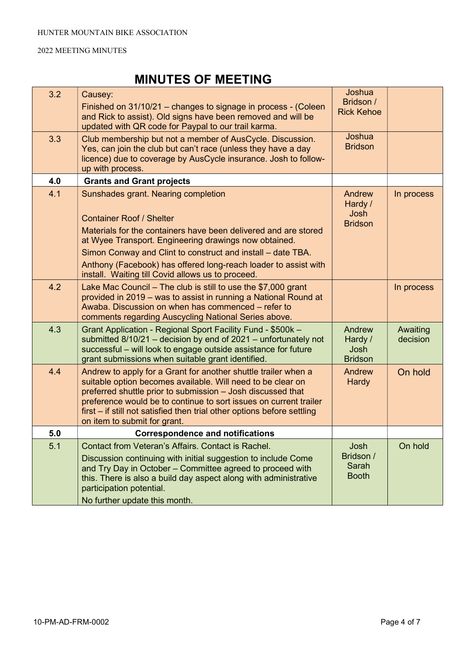| 3.2 | Causey:<br>Finished on 31/10/21 – changes to signage in process - (Coleen<br>and Rick to assist). Old signs have been removed and will be<br>updated with QR code for Paypal to our trail karma.                                                                                                                                                                             | Joshua<br>Bridson /<br><b>Rick Kehoe</b>    |                      |
|-----|------------------------------------------------------------------------------------------------------------------------------------------------------------------------------------------------------------------------------------------------------------------------------------------------------------------------------------------------------------------------------|---------------------------------------------|----------------------|
| 3.3 | Club membership but not a member of AusCycle. Discussion.<br>Yes, can join the club but can't race (unless they have a day<br>licence) due to coverage by AusCycle insurance. Josh to follow-<br>up with process.                                                                                                                                                            | Joshua<br><b>Bridson</b>                    |                      |
| 4.0 | <b>Grants and Grant projects</b>                                                                                                                                                                                                                                                                                                                                             |                                             |                      |
| 4.1 | Sunshades grant. Nearing completion<br><b>Container Roof / Shelter</b><br>Materials for the containers have been delivered and are stored<br>at Wyee Transport. Engineering drawings now obtained.<br>Simon Conway and Clint to construct and install – date TBA.                                                                                                            | Andrew<br>Hardy /<br>Josh<br><b>Bridson</b> | In process           |
|     | Anthony (Facebook) has offered long-reach loader to assist with<br>install. Waiting till Covid allows us to proceed.                                                                                                                                                                                                                                                         |                                             |                      |
| 4.2 | Lake Mac Council $-$ The club is still to use the \$7,000 grant<br>provided in 2019 – was to assist in running a National Round at<br>Awaba. Discussion on when has commenced – refer to<br>comments regarding Auscycling National Series above.                                                                                                                             |                                             | In process           |
| 4.3 | Grant Application - Regional Sport Facility Fund - \$500k -<br>submitted $8/10/21$ – decision by end of 2021 – unfortunately not<br>successful - will look to engage outside assistance for future<br>grant submissions when suitable grant identified.                                                                                                                      | Andrew<br>Hardy /<br>Josh<br><b>Bridson</b> | Awaiting<br>decision |
| 4.4 | Andrew to apply for a Grant for another shuttle trailer when a<br>suitable option becomes available. Will need to be clear on<br>preferred shuttle prior to submission - Josh discussed that<br>preference would be to continue to sort issues on current trailer<br>first – if still not satisfied then trial other options before settling<br>on item to submit for grant. | Andrew<br><b>Hardy</b>                      | On hold              |
| 5.0 | <b>Correspondence and notifications</b>                                                                                                                                                                                                                                                                                                                                      |                                             |                      |
| 5.1 | Contact from Veteran's Affairs. Contact is Rachel.<br>Discussion continuing with initial suggestion to include Come<br>and Try Day in October - Committee agreed to proceed with<br>this. There is also a build day aspect along with administrative<br>participation potential.<br>No further update this month.                                                            | Josh<br>Bridson /<br>Sarah<br><b>Booth</b>  | On hold              |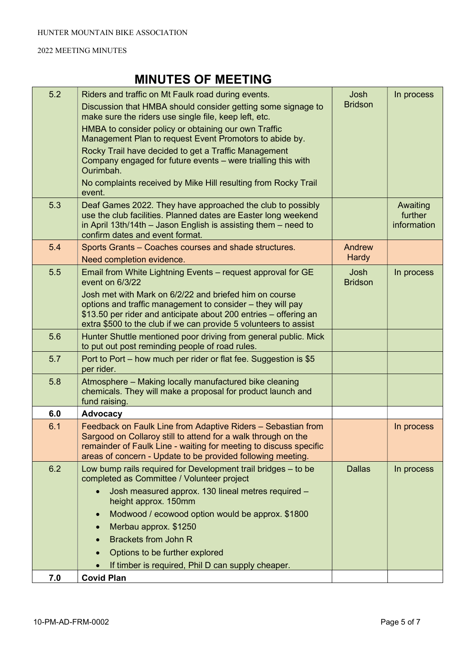| 5.2 | Riders and traffic on Mt Faulk road during events.<br>Discussion that HMBA should consider getting some signage to<br>make sure the riders use single file, keep left, etc.<br>HMBA to consider policy or obtaining our own Traffic<br>Management Plan to request Event Promotors to abide by.<br>Rocky Trail have decided to get a Traffic Management<br>Company engaged for future events – were trialling this with<br>Ourimbah.<br>No complaints received by Mike Hill resulting from Rocky Trail<br>event. | Josh<br><b>Bridson</b> | In process                         |
|-----|-----------------------------------------------------------------------------------------------------------------------------------------------------------------------------------------------------------------------------------------------------------------------------------------------------------------------------------------------------------------------------------------------------------------------------------------------------------------------------------------------------------------|------------------------|------------------------------------|
| 5.3 | Deaf Games 2022. They have approached the club to possibly<br>use the club facilities. Planned dates are Easter long weekend<br>in April 13th/14th $-$ Jason English is assisting them $-$ need to<br>confirm dates and event format.                                                                                                                                                                                                                                                                           |                        | Awaiting<br>further<br>information |
| 5.4 | Sports Grants - Coaches courses and shade structures.                                                                                                                                                                                                                                                                                                                                                                                                                                                           | Andrew                 |                                    |
|     | Need completion evidence.                                                                                                                                                                                                                                                                                                                                                                                                                                                                                       | <b>Hardy</b>           |                                    |
| 5.5 | Email from White Lightning Events - request approval for GE<br>event on 6/3/22<br>Josh met with Mark on 6/2/22 and briefed him on course<br>options and traffic management to consider - they will pay<br>\$13.50 per rider and anticipate about 200 entries - offering an<br>extra \$500 to the club if we can provide 5 volunteers to assist                                                                                                                                                                  | Josh<br><b>Bridson</b> | In process                         |
| 5.6 | Hunter Shuttle mentioned poor driving from general public. Mick<br>to put out post reminding people of road rules.                                                                                                                                                                                                                                                                                                                                                                                              |                        |                                    |
| 5.7 | Port to Port – how much per rider or flat fee. Suggestion is \$5<br>per rider.                                                                                                                                                                                                                                                                                                                                                                                                                                  |                        |                                    |
| 5.8 | Atmosphere - Making locally manufactured bike cleaning<br>chemicals. They will make a proposal for product launch and<br>fund raising.                                                                                                                                                                                                                                                                                                                                                                          |                        |                                    |
| 6.0 | <b>Advocacy</b>                                                                                                                                                                                                                                                                                                                                                                                                                                                                                                 |                        |                                    |
| 6.1 | Feedback on Faulk Line from Adaptive Riders - Sebastian from<br>Sargood on Collaroy still to attend for a walk through on the<br>remainder of Faulk Line - waiting for meeting to discuss specific<br>areas of concern - Update to be provided following meeting.                                                                                                                                                                                                                                               |                        | In process                         |
| 6.2 | Low bump rails required for Development trail bridges - to be<br>completed as Committee / Volunteer project                                                                                                                                                                                                                                                                                                                                                                                                     | <b>Dallas</b>          | In process                         |
|     | Josh measured approx. 130 lineal metres required -<br>height approx. 150mm                                                                                                                                                                                                                                                                                                                                                                                                                                      |                        |                                    |
|     | Modwood / ecowood option would be approx. \$1800                                                                                                                                                                                                                                                                                                                                                                                                                                                                |                        |                                    |
|     | Merbau approx. \$1250                                                                                                                                                                                                                                                                                                                                                                                                                                                                                           |                        |                                    |
|     | <b>Brackets from John R</b>                                                                                                                                                                                                                                                                                                                                                                                                                                                                                     |                        |                                    |
|     | Options to be further explored                                                                                                                                                                                                                                                                                                                                                                                                                                                                                  |                        |                                    |
|     | If timber is required, Phil D can supply cheaper.                                                                                                                                                                                                                                                                                                                                                                                                                                                               |                        |                                    |
| 7.0 | <b>Covid Plan</b>                                                                                                                                                                                                                                                                                                                                                                                                                                                                                               |                        |                                    |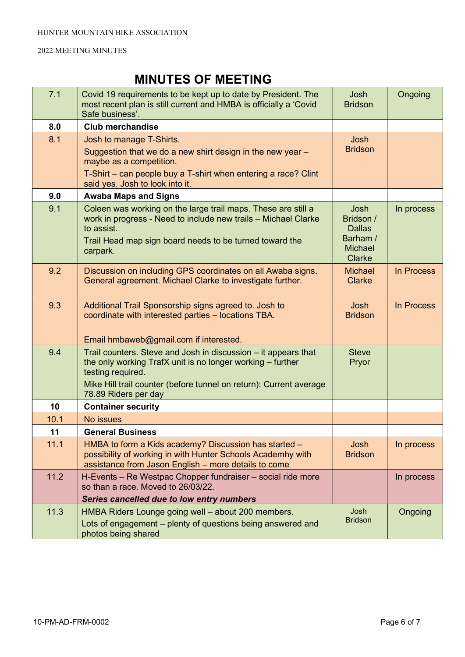| 7.1  | Covid 19 requirements to be kept up to date by President. The<br>most recent plan is still current and HMBA is officially a 'Covid<br>Safe business'.                                                                                           | Josh<br><b>Bridson</b>                                                                   | Ongoing    |
|------|-------------------------------------------------------------------------------------------------------------------------------------------------------------------------------------------------------------------------------------------------|------------------------------------------------------------------------------------------|------------|
| 8.0  | <b>Club merchandise</b>                                                                                                                                                                                                                         |                                                                                          |            |
| 8.1  | Josh to manage T-Shirts.<br>Suggestion that we do a new shirt design in the new year -<br>maybe as a competition.<br>T-Shirt – can people buy a T-shirt when entering a race? Clint<br>said yes. Josh to look into it.                          | Josh<br><b>Bridson</b>                                                                   |            |
| 9.0  | <b>Awaba Maps and Signs</b>                                                                                                                                                                                                                     |                                                                                          |            |
| 9.1  | Coleen was working on the large trail maps. These are still a<br>work in progress - Need to include new trails - Michael Clarke<br>to assist.<br>Trail Head map sign board needs to be turned toward the<br>carpark.                            | <b>Josh</b><br>Bridson /<br><b>Dallas</b><br>Barham /<br><b>Michael</b><br><b>Clarke</b> | In process |
| 9.2  | Discussion on including GPS coordinates on all Awaba signs.<br>General agreement. Michael Clarke to investigate further.                                                                                                                        | <b>Michael</b><br><b>Clarke</b>                                                          | In Process |
| 9.3  | Additional Trail Sponsorship signs agreed to. Josh to<br>coordinate with interested parties - locations TBA.<br>Email hmbaweb@gmail.com if interested.                                                                                          | <b>Josh</b><br><b>Bridson</b>                                                            | In Process |
| 9.4  | Trail counters. Steve and Josh in discussion – it appears that<br>the only working TrafX unit is no longer working - further<br>testing required.<br>Mike Hill trail counter (before tunnel on return): Current average<br>78.89 Riders per day | <b>Steve</b><br>Pryor                                                                    |            |
| 10   | <b>Container security</b>                                                                                                                                                                                                                       |                                                                                          |            |
| 10.1 | No issues                                                                                                                                                                                                                                       |                                                                                          |            |
| 11   | <b>General Business</b>                                                                                                                                                                                                                         |                                                                                          |            |
| 11.1 | HMBA to form a Kids academy? Discussion has started -<br>possibility of working in with Hunter Schools Academhy with<br>assistance from Jason English - more details to come                                                                    | Josh<br><b>Bridson</b>                                                                   | In process |
| 11.2 | H-Events - Re Westpac Chopper fundraiser - social ride more<br>so than a race. Moved to 26/03/22.<br>Series cancelled due to low entry numbers                                                                                                  |                                                                                          | In process |
| 11.3 | HMBA Riders Lounge going well - about 200 members.<br>Lots of engagement – plenty of questions being answered and<br>photos being shared                                                                                                        | Josh<br><b>Bridson</b>                                                                   | Ongoing    |